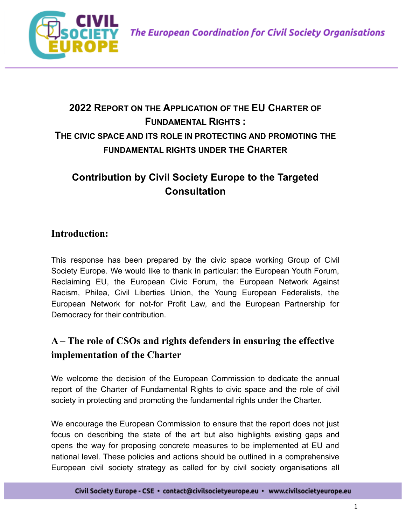

# **2022 REPORT ON THE APPLICATION OF THE EU CHARTER OF FUNDAMENTAL RIGHTS : THE CIVIC SPACE AND ITS ROLE IN PROTECTING AND PROMOTING THE FUNDAMENTAL RIGHTS UNDER THE CHARTER**

# **Contribution by Civil Society Europe to the Targeted Consultation**

#### **Introduction:**

This response has been prepared by the civic space working Group of Civil Society Europe. We would like to thank in particular: the European Youth Forum, Reclaiming EU, the European Civic Forum, the European Network Against Racism, Philea, Civil Liberties Union, the Young European Federalists, the European Network for not-for Profit Law, and the European Partnership for Democracy for their contribution.

## **A – The role of CSOs and rights defenders in ensuring the effective implementation of the Charter**

We welcome the decision of the European Commission to dedicate the annual report of the Charter of Fundamental Rights to civic space and the role of civil society in protecting and promoting the fundamental rights under the Charter.

We encourage the European Commission to ensure that the report does not just focus on describing the state of the art but also highlights existing gaps and opens the way for proposing concrete measures to be implemented at EU and national level. These policies and actions should be outlined in a comprehensive European civil society strategy as called for by civil society organisations all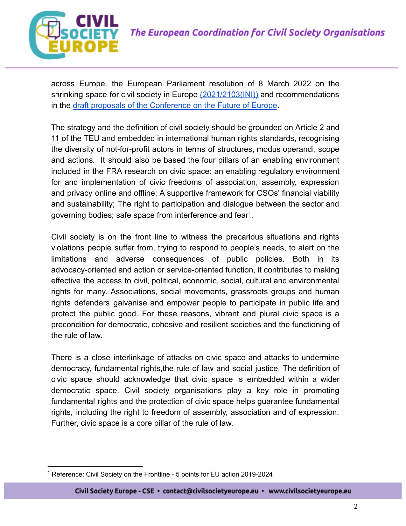

across Europe, the European Parliament resolution of 8 March 2022 on the shrinking space for civil society in Europe ([2021/2103\(INI\)\)](https://oeil.secure.europarl.europa.eu/oeil/popups/ficheprocedure.do?lang=en&reference=2021/2103(INI)) and recommendations in the [draft proposals of the Conference on the Future](https://futureu.europa.eu/pages/plenary) of Europe.

The strategy and the definition of civil society should be grounded on Article 2 and 11 of the TEU and embedded in international human rights standards, recognising the diversity of not-for-profit actors in terms of structures, modus operandi, scope and actions. It should also be based the four pillars of an enabling environment included in the FRA research on civic space: an enabling regulatory environment for and implementation of civic freedoms of association, assembly, expression and privacy online and offline; A supportive framework for CSOs' financial viability and sustainability; The right to participation and dialogue between the sector and governing bodies; safe space from interference and fear $1$ .

Civil society is on the front line to witness the precarious situations and rights violations people suffer from, trying to respond to people's needs, to alert on the limitations and adverse consequences of public policies. Both in its advocacy-oriented and action or service-oriented function, it contributes to making effective the access to civil, political, economic, social, cultural and environmental rights for many. Associations, social movements, grassroots groups and human rights defenders galvanise and empower people to participate in public life and protect the public good. For these reasons, vibrant and plural civic space is a precondition for democratic, cohesive and resilient societies and the functioning of the rule of law.

There is a close interlinkage of attacks on civic space and attacks to undermine democracy, fundamental rights,the rule of law and social justice. The definition of civic space should acknowledge that civic space is embedded within a wider democratic space. Civil society organisations play a key role in promoting fundamental rights and the protection of civic space helps guarantee fundamental rights, including the right to freedom of assembly, association and of expression. Further, civic space is a core pillar of the rule of law.

<sup>&</sup>lt;sup>1</sup> Reference: Civil Society on the Frontline - 5 points for EU action 2019-2024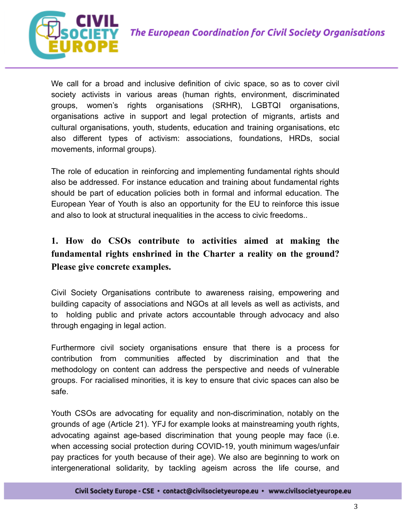

We call for a broad and inclusive definition of civic space, so as to cover civil society activists in various areas (human rights, environment, discriminated groups, women's rights organisations (SRHR), LGBTQI organisations, organisations active in support and legal protection of migrants, artists and cultural organisations, youth, students, education and training organisations, etc also different types of activism: associations, foundations, HRDs, social movements, informal groups).

The role of education in reinforcing and implementing fundamental rights should also be addressed. For instance education and training about fundamental rights should be part of education policies both in formal and informal education. The European Year of Youth is also an opportunity for the EU to reinforce this issue and also to look at structural inequalities in the access to civic freedoms..

### **1. How do CSOs contribute to activities aimed at making the fundamental rights enshrined in the Charter a reality on the ground? Please give concrete examples.**

Civil Society Organisations contribute to awareness raising, empowering and building capacity of associations and NGOs at all levels as well as activists, and to holding public and private actors accountable through advocacy and also through engaging in legal action.

Furthermore civil society organisations ensure that there is a process for contribution from communities affected by discrimination and that the methodology on content can address the perspective and needs of vulnerable groups. For racialised minorities, it is key to ensure that civic spaces can also be safe.

Youth CSOs are advocating for equality and non-discrimination, notably on the grounds of age (Article 21). YFJ for example looks at mainstreaming youth rights, advocating against age-based discrimination that young people may face (i.e. when accessing social protection during COVID-19, youth minimum wages/unfair pay practices for youth because of their age). We also are beginning to work on intergenerational solidarity, by tackling ageism across the life course, and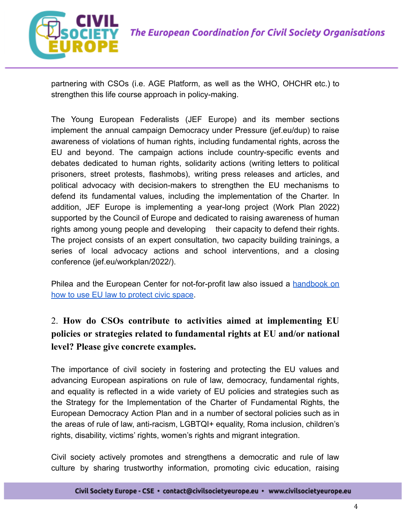

partnering with CSOs (i.e. AGE Platform, as well as the WHO, OHCHR etc.) to strengthen this life course approach in policy-making.

The Young European Federalists (JEF Europe) and its member sections implement the annual campaign Democracy under Pressure (jef.eu/dup) to raise awareness of violations of human rights, including fundamental rights, across the EU and beyond. The campaign actions include country-specific events and debates dedicated to human rights, solidarity actions (writing letters to political prisoners, street protests, flashmobs), writing press releases and articles, and political advocacy with decision-makers to strengthen the EU mechanisms to defend its fundamental values, including the implementation of the Charter. In addition, JEF Europe is implementing a year-long project (Work Plan 2022) supported by the Council of Europe and dedicated to raising awareness of human rights among young people and developing their capacity to defend their rights. The project consists of an expert consultation, two capacity building trainings, a series of local advocacy actions and school interventions, and a closing conference (jef.eu/workplan/2022/).

Philea and the European Center for not-for-profit law also issued a [handbook](https://philea.issuelab.org/resource/handbook-how-to-use-eu-law-to-protect-civil-space.html) on [how to use EU law to protect civic space](https://philea.issuelab.org/resource/handbook-how-to-use-eu-law-to-protect-civil-space.html).

### 2. **How do CSOs contribute to activities aimed at implementing EU policies or strategies related to fundamental rights at EU and/or national level? Please give concrete examples.**

The importance of civil society in fostering and protecting the EU values and advancing European aspirations on rule of law, democracy, fundamental rights, and equality is reflected in a wide variety of EU policies and strategies such as the Strategy for the Implementation of the Charter of Fundamental Rights, the European Democracy Action Plan and in a number of sectoral policies such as in the areas of rule of law, anti-racism, LGBTQI+ equality, Roma inclusion, children's rights, disability, victims' rights, women's rights and migrant integration.

Civil society actively promotes and strengthens a democratic and rule of law culture by sharing trustworthy information, promoting civic education, raising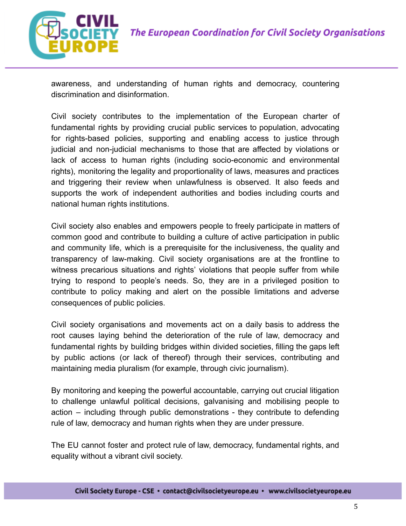

awareness, and understanding of human rights and democracy, countering discrimination and disinformation.

Civil society contributes to the implementation of the European charter of fundamental rights by providing crucial public services to population, advocating for rights-based policies, supporting and enabling access to justice through judicial and non-judicial mechanisms to those that are affected by violations or lack of access to human rights (including socio-economic and environmental rights), monitoring the legality and proportionality of laws, measures and practices and triggering their review when unlawfulness is observed. It also feeds and supports the work of independent authorities and bodies including courts and national human rights institutions.

Civil society also enables and empowers people to freely participate in matters of common good and contribute to building a culture of active participation in public and community life, which is a prerequisite for the inclusiveness, the quality and transparency of law-making. Civil society organisations are at the frontline to witness precarious situations and rights' violations that people suffer from while trying to respond to people's needs. So, they are in a privileged position to contribute to policy making and alert on the possible limitations and adverse consequences of public policies.

Civil society organisations and movements act on a daily basis to address the root causes laying behind the deterioration of the rule of law, democracy and fundamental rights by building bridges within divided societies, filling the gaps left by public actions (or lack of thereof) through their services, contributing and maintaining media pluralism (for example, through civic journalism).

By monitoring and keeping the powerful accountable, carrying out crucial litigation to challenge unlawful political decisions, galvanising and mobilising people to action – including through public demonstrations - they contribute to defending rule of law, democracy and human rights when they are under pressure.

The EU cannot foster and protect rule of law, democracy, fundamental rights, and equality without a vibrant civil society.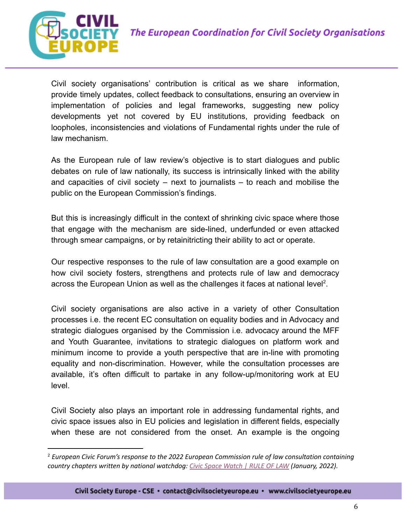

Civil society organisations' contribution is critical as we share information, provide timely updates, collect feedback to consultations, ensuring an overview in implementation of policies and legal frameworks, suggesting new policy developments yet not covered by EU institutions, providing feedback on loopholes, inconsistencies and violations of Fundamental rights under the rule of law mechanism.

As the European rule of law review's objective is to start dialogues and public debates on rule of law nationally, its success is intrinsically linked with the ability and capacities of civil society – next to journalists – to reach and mobilise the public on the European Commission's findings.

But this is [increasingly](https://civicspacewatch.eu/wp-content/uploads/2021/12/Report-Civic-Space-in-the-European-Rule-of-Law-Framework.pdf) difficult in the context of shrinking civic space where those that engage with the mechanism are side-lined, underfunded or even attacked through smear campaigns, or by retainitricting their ability to act or operate.

Our respective responses to the rule of law consultation are a good example on how civil society fosters, strengthens and protects rule of law and democracy across the European Union as well as the challenges it faces at national level<sup>2</sup>.

Civil society organisations are also active in a variety of other Consultation processes i.e. the recent EC consultation on equality bodies and in Advocacy and strategic dialogues organised by the Commission i.e. advocacy around the MFF and Youth Guarantee, invitations to strategic dialogues on platform work and minimum income to provide a youth perspective that are in-line with promoting equality and non-discrimination. However, while the consultation processes are available, it's often difficult to partake in any follow-up/monitoring work at EU level.

Civil Society also plays an important role in addressing fundamental rights, and civic space issues also in EU policies and legislation in different fields, especially when these are not considered from the onset. An example is the ongoing

<sup>2</sup> *European Civic Forum's response to the 2022 European Commission rule of law consultation containing country chapters written by national watchdog: Civic Space [Watch](https://civicspacewatch.eu/elementor-16622/) | RULE OF LAW (January, 2022).*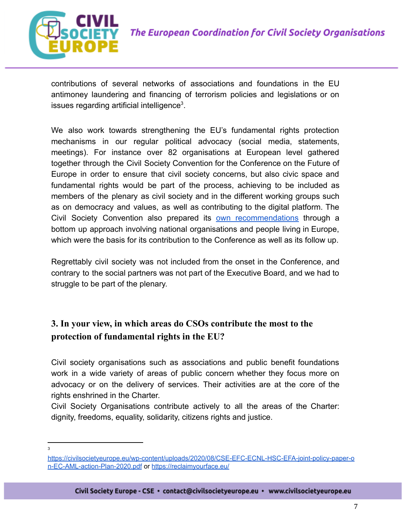

contributions of several networks of associations and foundations in the EU antimoney laundering and financing of terrorism policies and legislations or on issues regarding artificial intelligence<sup>3</sup>.

We also work towards strengthening the EU's fundamental rights protection mechanisms in our regular political advocacy (social media, statements, meetings). For instance over 82 organisations at European level gathered together through the Civil Society Convention for the Conference on the Future of Europe in order to ensure that civil society concerns, but also civic space and fundamental rights would be part of the process, achieving to be included as members of the plenary as civil society and in the different working groups such as on democracy and values, as well as contributing to the digital platform. The Civil Society Convention also prepared its own [recommendations](https://drive.google.com/drive/folders/1WdHAbtk1NEgAiBREsoljFUGwhUqV558v?usp=sharing) through a bottom up approach involving national organisations and people living in Europe, which were the basis for its contribution to the Conference as well as its follow up.

Regrettably civil society was not included from the onset in the Conference, and contrary to the social partners was not part of the Executive Board, and we had to struggle to be part of the plenary.

#### **3. In your view, in which areas do CSOs contribute the most to the protection of fundamental rights in the EU?**

Civil society organisations such as associations and public benefit foundations work in a wide variety of areas of public concern whether they focus more on advocacy or on the delivery of services. Their activities are at the core of the rights enshrined in the Charter.

Civil Society Organisations contribute actively to all the areas of the Charter: dignity, freedoms, equality, solidarity, citizens rights and justice.

3

[https://civilsocietyeurope.eu/wp-content/uploads/2020/08/CSE-EFC-ECNL-HSC-EFA-joint-policy-paper-o](https://civilsocietyeurope.eu/wp-content/uploads/2020/08/CSE-EFC-ECNL-HSC-EFA-joint-policy-paper-on-EC-AML-action-Plan-2020.pdf) [n-EC-AML-action-Plan-2020.pdf](https://civilsocietyeurope.eu/wp-content/uploads/2020/08/CSE-EFC-ECNL-HSC-EFA-joint-policy-paper-on-EC-AML-action-Plan-2020.pdf) or <https://reclaimyourface.eu/>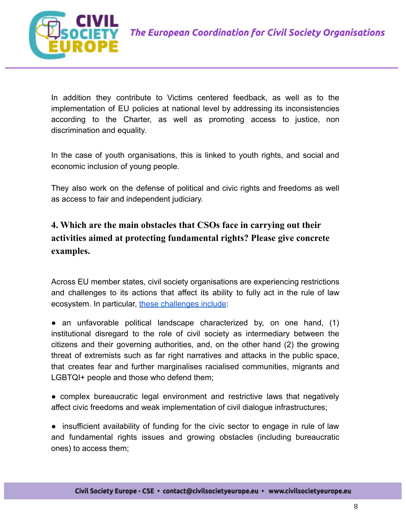



In addition they contribute to Victims centered feedback, as well as to the implementation of EU policies at national level by addressing its inconsistencies according to the Charter, as well as promoting access to justice, non discrimination and equality.

In the case of youth organisations, this is linked to youth rights, and social and economic inclusion of young people.

They also work on the defense of political and civic rights and freedoms as well as access to fair and independent judiciary.

**4. Which are the main obstacles that CSOs face in carrying out their activities aimed at protecting fundamental rights? Please give concrete examples.**

Across EU member states, civil society organisations are experiencing restrictions and challenges to its actions that affect its ability to fully act in the rule of law ecosystem. In particular, [these challenges include](https://civicspacewatch.eu/elementor-16622/):

• an unfavorable political landscape characterized by, on one hand, (1) institutional disregard to the role of civil society as intermediary between the citizens and their governing authorities, and, on the other hand (2) the growing threat of extremists such as far right narratives and attacks in the public space, that creates fear and further marginalises racialised communities, migrants and LGBTQI+ people and those who defend them;

● complex bureaucratic legal environment and restrictive laws that negatively affect civic freedoms and weak implementation of civil dialogue infrastructures;

● insufficient availability of funding for the civic sector to engage in rule of law and fundamental rights issues and growing obstacles (including bureaucratic ones) to access them;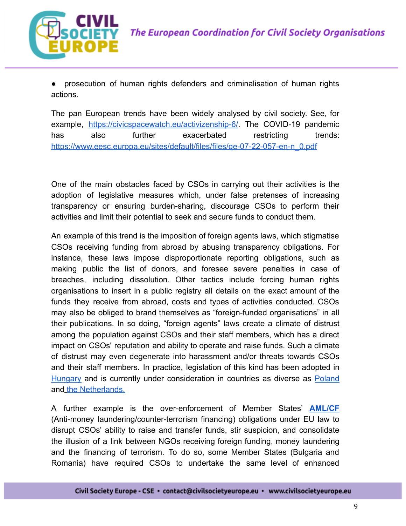



prosecution of human rights defenders and criminalisation of human rights actions.

The pan European trends have been widely analysed by civil society. See, for example, <https://civicspacewatch.eu/activizenship-6/>. The COVID-19 pandemic has also further exacerbated restricting trends: [https://www.eesc.europa.eu/sites/default/files/files/qe-07-22-057-en-n\\_0.pdf](https://www.eesc.europa.eu/sites/default/files/files/qe-07-22-057-en-n_0.pdf)

One of the main obstacles faced by CSOs in carrying out their activities is the adoption of legislative measures which, under false pretenses of increasing transparency or ensuring burden-sharing, discourage CSOs to perform their activities and limit their potential to seek and secure funds to conduct them.

An example of this trend is the imposition of foreign agents laws, which stigmatise CSOs receiving funding from abroad by abusing transparency obligations. For instance, these laws impose disproportionate reporting obligations, such as making public the list of donors, and foresee severe penalties in case of breaches, including dissolution. Other tactics include forcing human rights organisations to insert in a public registry all details on the exact amount of the funds they receive from abroad, costs and types of activities conducted. CSOs may also be obliged to brand themselves as "foreign-funded organisations" in all their publications. In so doing, "foreign agents" laws create a climate of distrust among the population against CSOs and their staff members, which has a direct impact on CSOs' reputation and ability to operate and raise funds. Such a climate of distrust may even degenerate into harassment and/or threats towards CSOs and their staff members. In practice, legislation of this kind has been adopted i[n](https://www.amnesty.org/en/wp-content/uploads/2021/08/EUR2745262021ENGLISH.pdf) [Hungary](https://www.amnesty.org/en/wp-content/uploads/2021/08/EUR2745262021ENGLISH.pdf) and is currently under consideration in countries as diverse as [Poland](https://twitter.com/annawojcik/status/1509480412673978372) and [the Netherlands](https://ecnl.org/news/new-proposed-changes-dutch-transparency-act).

A further example is the over-enforcement of Member States' **[AML/CF](https://eur-lex.europa.eu/legal-content/EN/TXT/?uri=celex%3A32018L0843)** (Anti-money laundering/counter-terrorism financing) obligations under EU law to disrupt CSOs' ability to raise and transfer funds, stir suspicion, and consolidate the illusion of a link between NGOs receiving foreign funding, money laundering and the financing of terrorism. To do so, some Member States (Bulgaria and Romania) have required CSOs to undertake the same level of enhanced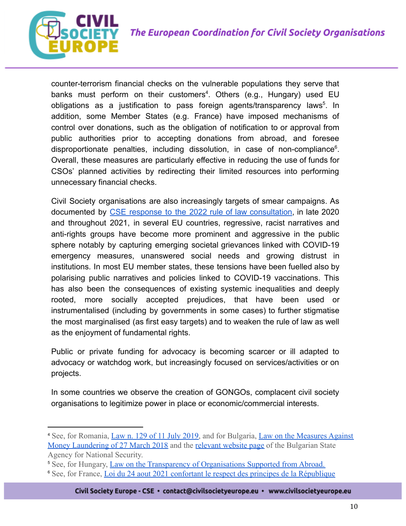



counter-terrorism financial checks on the vulnerable populations they serve that banks must perform on their customers<sup>4</sup>. Others (e.g., Hungary) used EU obligations as a justification to pass foreign agents/transparency laws<sup>5</sup>. In addition, some Member States (e.g. France) have imposed mechanisms of control over donations, such as the obligation of notification to or approval from public authorities prior to accepting donations from abroad, and foresee disproportionate penalties, including dissolution, in case of non-compliance $6$ . Overall, these measures are particularly effective in reducing the use of funds for CSOs' planned activities by redirecting their limited resources into performing unnecessary financial checks.

Civil Society organisations are also increasingly targets of smear campaigns. As documented by CSE response to the 2022 rule of law [consultation,](https://civilsocietyeurope.eu/wp-content/uploads/2022/01/Rule-of-Law-report-2022-CSE-Contribution.pdf) in late 2020 and throughout 2021, in several EU countries, regressive, racist narratives and anti-rights groups have become more prominent and aggressive in the public sphere notably by capturing emerging societal grievances linked with COVID-19 emergency measures, unanswered social needs and growing distrust in institutions. In most EU member states, these tensions have been fuelled also by polarising public narratives and policies linked to COVID-19 vaccinations. This has also been the consequences of existing systemic inequalities and deeply rooted, more socially accepted prejudices, that have been used or instrumentalised (including by governments in some cases) to further stigmatise the most marginalised (as first easy targets) and to weaken the rule of law as well as the enjoyment of fundamental rights.

Public or private funding for advocacy is becoming scarcer or ill adapted to advocacy or watchdog work, but increasingly focused on services/activities or on projects.

In some countries we observe the creation of GONGOs, complacent civil society organisations to legitimize power in place or economic/commercial interests.

<sup>4</sup> See, for Romania, [Law n. 129 of 11 July 2019,](https://asfromania.ro/uploads/articole/attachments/6079403aed7ef228811186.pdf) and for Bulgaria, [Law on the Measures Against](https://www.dans.bg/images/stories/promzak/Normativni%20aktove/_Acts_eng/LMML_.pdf) [Money Laundering of 27 March 2018](https://www.dans.bg/images/stories/promzak/Normativni%20aktove/_Acts_eng/LMML_.pdf) and the relevant [website page](https://www.dans.bg/en/msip-091209-menu-en#:~:text=New%20AML%2FCFT%20legislation%20was,and%20other%20relative%20legislative%20acts.) of the Bulgarian State Agency for National Security.

<sup>5</sup> See, for Hungary, [Law on the Transparency of Organisations](https://helsinki.hu/wp-content/uploads/14967_NGO_bill_20170407_with_reasoning.pdf) Supported from Abroad.

<sup>&</sup>lt;sup>6</sup> See, for France, Loi du 24 aout 2021 confortant le [respect des principes de la République](https://www.legifrance.gouv.fr/jorf/id/JORFTEXT000043964778)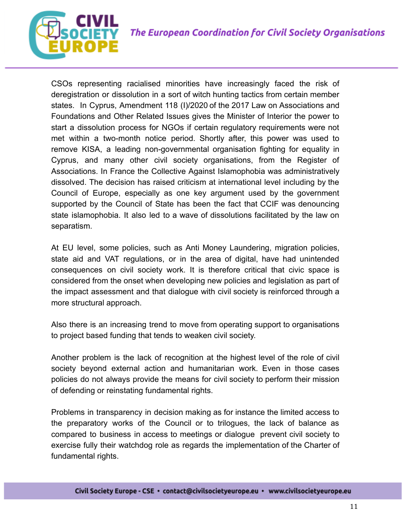

CSOs representing racialised minorities have increasingly faced the risk of deregistration or dissolution in a sort of witch hunting tactics from certain member states. In Cyprus, Amendment 118 (I)/2020 of the 2017 Law on Associations and Foundations and Other Related Issues gives the Minister of Interior the power to start a dissolution process for NGOs if certain regulatory requirements were not met within a two-month notice period. Shortly after, this power was used to remove KISA, a leading non-governmental organisation fighting for equality in Cyprus, and many other civil society organisations, from the Register of Associations. In France the Collective Against Islamophobia was administratively dissolved. The decision has raised criticism at international level including by the Council of Europe, especially as one key argument used by the government supported by the Council of State has been the fact that CCIF was denouncing state islamophobia. It also led to a wave of dissolutions facilitated by the law on separatism.

At EU level, some policies, such as Anti Money Laundering, migration policies, state aid and VAT regulations, or in the area of digital, have had unintended consequences on civil society work. It is therefore critical that civic space is considered from the onset when developing new policies and legislation as part of the impact assessment and that dialogue with civil society is reinforced through a more structural approach.

Also there is an increasing trend to move from operating support to organisations to project based funding that tends to weaken civil society.

Another problem is the lack of recognition at the highest level of the role of civil society beyond external action and humanitarian work. Even in those cases policies do not always provide the means for civil society to perform their mission of defending or reinstating fundamental rights.

Problems in transparency in decision making as for instance the limited access to the preparatory works of the Council or to trilogues, the lack of balance as compared to business in access to meetings or dialogue prevent civil society to exercise fully their watchdog role as regards the implementation of the Charter of fundamental rights.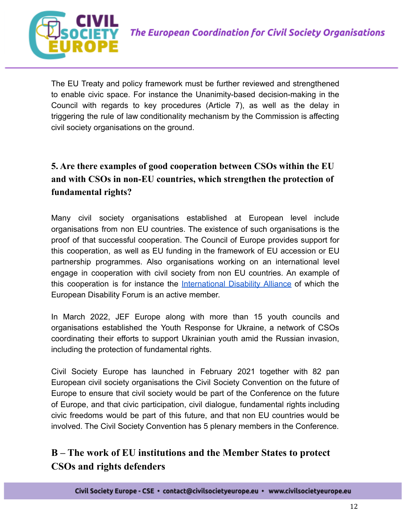

The EU Treaty and policy framework must be further reviewed and strengthened to enable civic space. For instance the Unanimity-based decision-making in the Council with regards to key procedures (Article 7), as well as the delay in triggering the rule of law conditionality mechanism by the Commission is affecting civil society organisations on the ground.

## **5. Are there examples of good cooperation between CSOs within the EU and with CSOs in non-EU countries, which strengthen the protection of fundamental rights?**

Many civil society organisations established at European level include organisations from non EU countries. The existence of such organisations is the proof of that successful cooperation. The Council of Europe provides support for this cooperation, as well as EU funding in the framework of EU accession or EU partnership programmes. Also organisations working on an international level engage in cooperation with civil society from non EU countries. An example of this cooperation is for instance the [International](https://www.internationaldisabilityalliance.org/) Disability Alliance of which the European Disability Forum is an active member.

In March 2022, JEF Europe along with more than 15 youth councils and organisations established the Youth Response for Ukraine, a network of CSOs coordinating their efforts to support Ukrainian youth amid the Russian invasion, including the protection of fundamental rights.

Civil Society Europe has launched in February 2021 together with 82 pan European civil society organisations the Civil Society Convention on the future of Europe to ensure that civil society would be part of the Conference on the future of Europe, and that civic participation, civil dialogue, fundamental rights including civic freedoms would be part of this future, and that non EU countries would be involved. The Civil Society Convention has 5 plenary members in the Conference.

## **B – The work of EU institutions and the Member States to protect CSOs and rights defenders**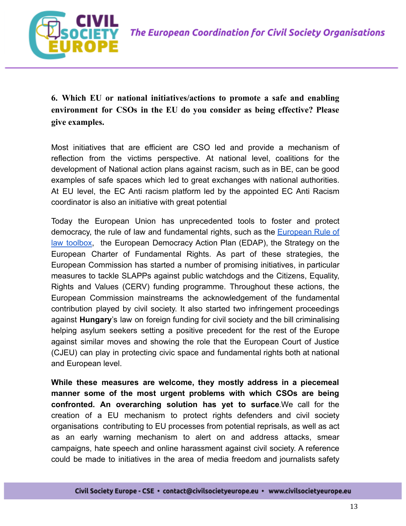

**6. Which EU or national initiatives/actions to promote a safe and enabling environment for CSOs in the EU do you consider as being effective? Please give examples.**

Most initiatives that are efficient are CSO led and provide a mechanism of reflection from the victims perspective. At national level, coalitions for the development of National action plans against racism, such as in BE, can be good examples of safe spaces which led to great exchanges with national authorities. At EU level, the EC Anti racism platform led by the appointed EC Anti Racism coordinator is also an initiative with great potential

Today the European Union has unprecedented tools to foster and protect democracy, the rule of law and fundamental rights, such as the **[European](https://civicspacewatch.eu/wp-content/uploads/2021/12/Report-Civic-Space-in-the-European-Rule-of-Law-Framework.pdf) Rule of** law [toolbox,](https://civicspacewatch.eu/wp-content/uploads/2021/12/Report-Civic-Space-in-the-European-Rule-of-Law-Framework.pdf) the European Democracy Action Plan (EDAP), the Strategy on the European Charter of Fundamental Rights. As part of these strategies, the European Commission has started a number of promising initiatives, in particular measures to tackle SLAPPs against public watchdogs and the Citizens, Equality, Rights and Values (CERV) funding programme. Throughout these actions, the European Commission mainstreams the acknowledgement of the fundamental contribution played by civil society. It also started two infringement proceedings against **Hungary**'s law on foreign funding for civil society and the bill criminalising helping asylum seekers setting a positive precedent for the rest of the Europe against similar moves and showing the role that the European Court of Justice (CJEU) can play in protecting civic space and fundamental rights both at national and European level.

**While these measures are welcome, they mostly address in a piecemeal manner some of the most urgent problems with which CSOs are being confronted. An overarching solution has yet to surface**.We call for the creation of a EU mechanism to protect rights defenders and civil society organisations contributing to EU processes from potential reprisals, as well as act as an early warning mechanism to alert on and address attacks, smear campaigns, hate speech and online harassment against civil society. A reference could be made to initiatives in the area of media freedom and journalists safety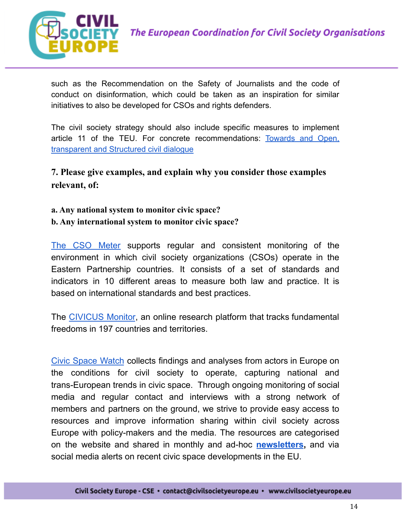

such as the Recommendation on the Safety of Journalists and the code of conduct on disinformation, which could be taken as an inspiration for similar initiatives to also be developed for CSOs and rights defenders.

The civil society strategy should also include specific measures to implement article 11 of the TEU. For concrete recommendations: [Towards](https://civilsocietyeurope.eu/wp-content/uploads/2021/10/Civil-Dialogue-Study.pdf) and Open, [transparent and Structured civil dialogue](https://civilsocietyeurope.eu/wp-content/uploads/2021/10/Civil-Dialogue-Study.pdf)

**7. Please give examples, and explain why you consider those examples relevant, of:**

**a. Any national system to monitor civic space? b. Any international system to monitor civic space?**

The CSO [Meter](https://csometer.info/) supports regular and consistent monitoring of the environment in which civil society organizations (CSOs) operate in the Eastern Partnership countries. It consists of a set of standards and indicators in 10 different areas to measure both law and practice. It is based on international standards and best practices.

The [CIVICUS](https://monitor.civicus.org/) Monitor, an online research platform that tracks fundamental freedoms in 197 countries and territories.

Civic [Space](https://civicspacewatch.eu/) Watch collects findings and analyses from actors in Europe on the conditions for civil society to operate, capturing national and trans-European trends in civic space. Through ongoing monitoring of social media and regular contact and interviews with a strong network of members and partners on the ground, we strive to provide easy access to resources and improve information sharing within civil society across Europe with policy-makers and the media. The resources are categorised on the website and shared in monthly and ad-hoc **[newsletters](https://civicspacewatch.eu/newsletter),** and via social media alerts on recent civic space developments in the EU.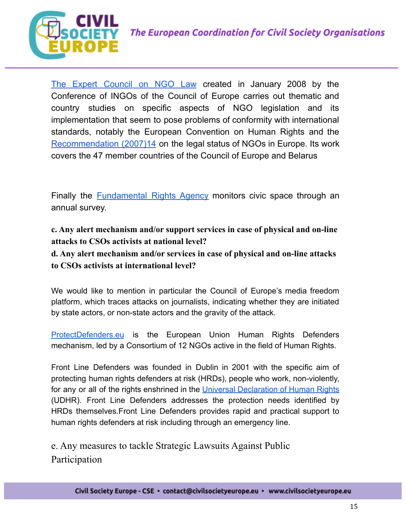

The Expert [Council](https://www.coe.int/en/web/ingo/expert-council?_82_struts_action=%2Flanguage%2Fview&_82_languageId=fr_FR) on NGO Law created in January 2008 by the Conference of INGOs of the Council of Europe carries out thematic and country studies on specific aspects of NGO legislation and its implementation that seem to pose problems of conformity with international standards, notably the European Convention on Human Rights and the [Recommendation](http://wcd.coe.int/ViewDoc.jsp?id=1194609&Site=CM&BackColorInternet=9999CC&BackColorIntranet=FFBB55&BackColorLogged=FFAC75) (2007)14 on the legal status of NGOs in Europe. Its work covers the 47 member countries of the Council of Europe and Belarus

Finally the **[Fundamental](https://fra.europa.eu/en/cooperation/civil-society/civil-society-space) Rights Agency** monitors civic space through an annual survey.

**c. Any alert mechanism and/or support services in case of physical and on-line attacks to CSOs activists at national level?**

**d. Any alert mechanism and/or services in case of physical and on-line attacks to CSOs activists at international level?**

We would like to mention in particular the Council of Europe's media freedom platform, which traces attacks on journalists, indicating whether they are initiated by state actors, or non-state actors and the gravity of the attack.

[ProtectDefenders.eu](https://protectdefenders.eu/about-us/) is the European Union Human Rights Defenders mechanism, led by a Consortium of 12 NGOs active in the field of Human Rights.

Front Line Defenders was founded in Dublin in 2001 with the specific aim of protecting human rights defenders at risk (HRDs), people who work, non-violently, for any or all of the rights enshrined in the Universal [Declaration](https://www.un.org/en/universal-declaration-human-rights/) of Human Rights (UDHR). Front Line Defenders addresses the protection needs identified by HRDs themselves.Front Line Defenders provides rapid and practical support to human rights defenders at risk including through an emergency line.

e. Any measures to tackle Strategic Lawsuits Against Public Participation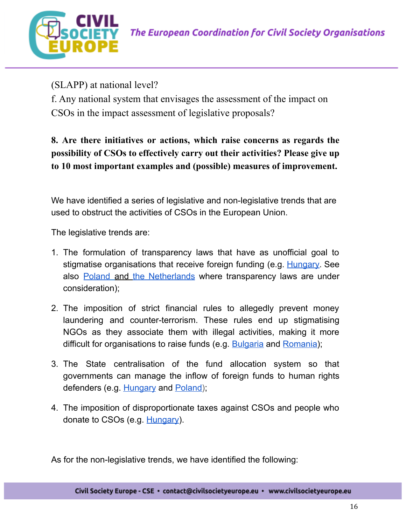

(SLAPP) at national level?

f. Any national system that envisages the assessment of the impact on CSOs in the impact assessment of legislative proposals?

**8. Are there initiatives or actions, which raise concerns as regards the possibility of CSOs to effectively carry out their activities? Please give up to 10 most important examples and (possible) measures of improvement.**

We have identified a series of legislative and non-legislative trends that are used to obstruct the activities of CSOs in the European Union.

The legislative trends are:

- 1. The formulation of transparency laws that have as unofficial goal to stigmatise organisations that receive foreign funding (e.g. [Hungary.](https://www.amnesty.org/en/wp-content/uploads/2021/08/EUR2745262021ENGLISH.pdf) See also [Poland](https://twitter.com/annawojcik/status/1509480412673978372) and the [Netherlands](https://ecnl.org/news/new-proposed-changes-dutch-transparency-act) where transparency laws are under consideration);
- 2. The imposition of strict financial rules to allegedly prevent money laundering and counter-terrorism. These rules end up stigmatising NGOs as they associate them with illegal activities, making it more difficult for organisations to raise funds (e.g. [Bulgaria](https://www.kinstellar.com/insights/detail/815/bulgaria-based-corporates-and-ngos-must-disclose-their-ultimate-beneficial-owners-by-june-2019) and [Romania\)](https://fra.europa.eu/sites/default/files/fra_uploads/franet_romania_civic_space_2021.pdf);
- 3. The State centralisation of the fund allocation system so that governments can manage the inflow of foreign funds to human rights defenders (e.g. [Hungary](https://eeagrants.org/news/no-agreement-reached-funding-hungary#:~:text=%E2%82%AC214.6%20million%20in%20funding,society%20funding%20had%20been%20appointed.) and [Poland\)](https://www.osce.org/odihr/336546);
- 4. The imposition of disproportionate taxes against CSOs and people who donate to CSOs (e.g. [Hungary](https://www.venice.coe.int/webforms/documents/default.aspx?pdffile=CDL-AD(2018)035-e#:~:text=37.,carries%20out%20immigration%2Dsupporting%20activity.)).

As for the non-legislative trends, we have identified the following: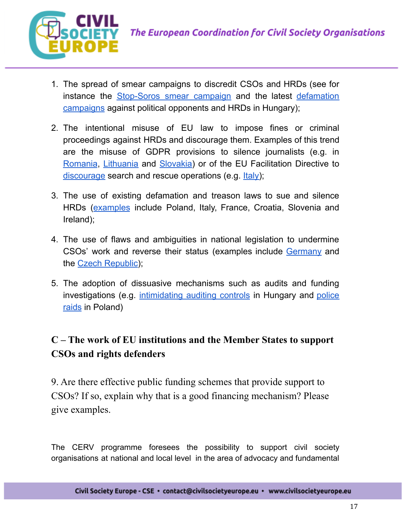

- 1. The spread of smear campaigns to discredit CSOs and HRDs (see for instance the [Stop-Soros](https://miniszterelnok.hu/orban-viktor-interjuja-a-magyar-idokben/) smear campaign and the latest [defamation](https://eu.boell.org/en/2021/06/07/disinformation-hungary-fabricated-news-discriminatory-legislation) [campaigns](https://eu.boell.org/en/2021/06/07/disinformation-hungary-fabricated-news-discriminatory-legislation) against political opponents and HRDs in Hungary);
- 2. The intentional misuse of EU law to impose fines or criminal proceedings against HRDs and discourage them. Examples of this trend are the misuse of GDPR provisions to silence journalists (e.g. in [Romania](https://www.occrp.org/en/40-press-releases/presss-releases/8875-occrp-strongly-objects-to-romania-s-misuse-of-gdpr-to-muzzle-media), [Lithuania](https://www.ecpmf.eu/state-data-protection-inspectorate-spdi-obstructing-journalistic-activity-in-lithuania/) and [Slovakia\)](https://www.europarl.europa.eu/doceo/document/E-9-2020-001520_EN.html) or of the EU Facilitation Directive to  $discourage$  search and rescue operations (e.g.  $lt{t}$ aly);
- 3. The use of existing defamation and treason laws to sue and silence HRDs ([examples](https://www.article19.org/from-weapons-to-shields/) include Poland, Italy, France, Croatia, Slovenia and Ireland);
- 4. The use of flaws and ambiguities in national legislation to undermine CSOs' work and reverse their status (examples include [Germany](https://www.attac.de/) and the Czech [Republic\)](https://www.attac.de/);
- 5. The adoption of dissuasive mechanisms such as audits and funding investigations (e.g. [intimidating](https://reclaiming-my.sharepoint.com/personal/martina_digaetano_reclaiming_eu/Documents/Martina) auditing controls in Hungary and [police](https://www.hrw.org/report/2019/02/06/breath-government-my-back/attacks-womens-rights-poland#_ftn5) [raids](https://www.hrw.org/report/2019/02/06/breath-government-my-back/attacks-womens-rights-poland#_ftn5) in Poland)

## **C – The work of EU institutions and the Member States to support CSOs and rights defenders**

9. Are there effective public funding schemes that provide support to CSOs? If so, explain why that is a good financing mechanism? Please give examples.

The CERV programme foresees the possibility to support civil society organisations at national and local level in the area of advocacy and fundamental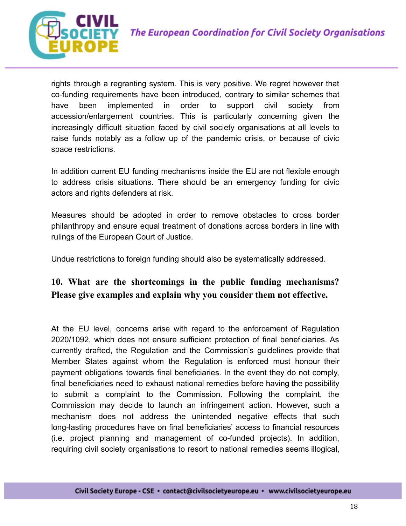



rights through a regranting system. This is very positive. We regret however that co-funding requirements have been introduced, contrary to similar schemes that have been implemented in order to support civil society from accession/enlargement countries. This is particularly concerning given the increasingly difficult situation faced by civil society organisations at all levels to raise funds notably as a follow up of the pandemic crisis, or because of civic space restrictions.

In addition current EU funding mechanisms inside the EU are not flexible enough to address crisis situations. There should be an emergency funding for civic actors and rights defenders at risk.

Measures should be adopted in order to remove obstacles to cross border philanthropy and ensure equal treatment of donations across borders in line with rulings of the European Court of Justice.

Undue restrictions to foreign funding should also be systematically addressed.

#### **10. What are the shortcomings in the public funding mechanisms? Please give examples and explain why you consider them not effective.**

At the EU level, concerns arise with regard to the enforcement of Regulation 2020/1092, which does not ensure sufficient protection of final beneficiaries. As currently drafted, the Regulation and the Commission's guidelines provide that Member States against whom the Regulation is enforced must honour their payment obligations towards final beneficiaries. In the event they do not comply, final beneficiaries need to exhaust national remedies before having the possibility to submit a complaint to the Commission. Following the complaint, the Commission may decide to launch an infringement action. However, such a mechanism does not address the unintended negative effects that such long-lasting procedures have on final beneficiaries' access to financial resources (i.e. project planning and management of co-funded projects). In addition, requiring civil society organisations to resort to national remedies seems illogical,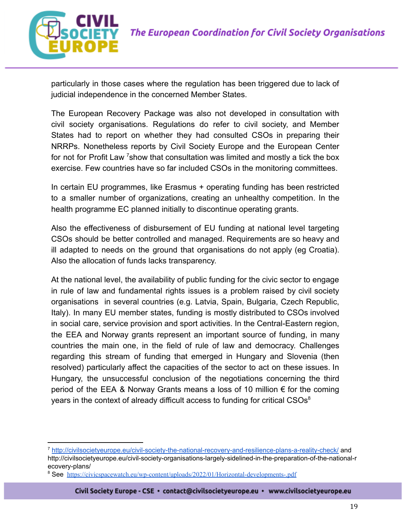

particularly in those cases where the regulation has been triggered due to lack of judicial independence in the concerned Member States.

The European Recovery Package was also not developed in consultation with civil society organisations. Regulations do refer to civil society, and Member States had to report on whether they had consulted CSOs in preparing their NRRPs. Nonetheless reports by Civil Society Europe and the European Center for not for Profit Law  $\frac{7}{5}$ how that consultation was limited and mostly a tick the box exercise. Few countries have so far included CSOs in the monitoring committees.

In certain EU programmes, like Erasmus + operating funding has been restricted to a smaller number of organizations, creating an unhealthy competition. In the health programme EC planned initially to discontinue operating grants.

Also the effectiveness of disbursement of EU funding at national level targeting CSOs should be better controlled and managed. Requirements are so heavy and ill adapted to needs on the ground that organisations do not apply (eg Croatia). Also the allocation of funds lacks transparency.

At the national level, the availability of public funding for the civic sector to engage in rule of law and fundamental rights issues is a problem raised by civil society organisations in several countries (e.g. Latvia, Spain, Bulgaria, Czech Republic, Italy). In many EU member states, funding is mostly distributed to CSOs involved in social care, service provision and sport activities. In the Central-Eastern region, the EEA and Norway grants represent an important source of funding, in many countries the main one, in the field of rule of law and democracy. Challenges regarding this stream of funding that emerged in Hungary and Slovenia (then resolved) particularly affect the capacities of the sector to act on these issues. In Hungary, the unsuccessful conclusion of the negotiations concerning the third period of the EEA & Norway Grants means a loss of 10 million € for the coming years in the context of already difficult access to funding for critical  $CSOs<sup>8</sup>$ 

<sup>7</sup> <http://civilsocietyeurope.eu/civil-society-the-national-recovery-and-resilience-plans-a-reality-check/> and http://civilsocietyeurope.eu/civil-society-organisations-largely-sidelined-in-the-preparation-of-the-national-r ecovery-plans/

<sup>&</sup>lt;sup>8</sup> See https://civicspacewatch.eu/wp-content/uploads/2022/01/Horizontal-developments-.pdf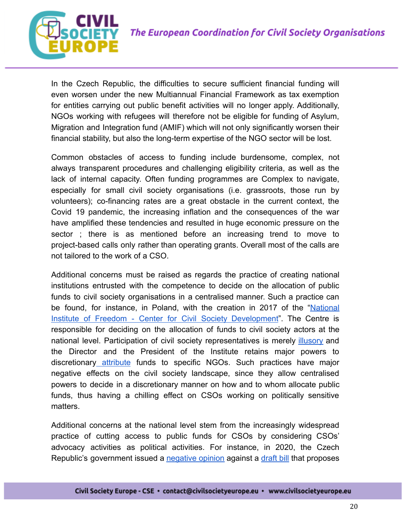

In the Czech Republic, the difficulties to secure sufficient financial funding will even worsen under the new Multiannual Financial Framework as tax exemption for entities carrying out public benefit activities will no longer apply. Additionally, NGOs working with refugees will therefore not be eligible for funding of Asylum, Migration and Integration fund (AMIF) which will not only significantly worsen their financial stability, but also the long-term expertise of the NGO sector will be lost.

Common obstacles of access to funding include burdensome, complex, not always transparent procedures and challenging eligibility criteria, as well as the lack of internal capacity. Often funding programmes are Complex to navigate, especially for small civil society organisations (i.e. grassroots, those run by volunteers); co-financing rates are a great obstacle in the current context, the Covid 19 pandemic, the increasing inflation and the consequences of the war have amplified these tendencies and resulted in huge economic pressure on the sector ; there is as mentioned before an increasing trend to move to project-based calls only rather than operating grants. Overall most of the calls are not tailored to the work of a CSO.

Additional concerns must be raised as regards the practice of creating national institutions entrusted with the competence to decide on the allocation of public funds to civil society organisations in a centralised manner. Such a practice can be found, for instance, in Poland, with the creation in 2017 of the ["National](https://niw.gov.pl/en/about-nfi/) Institute of Freedom - Center for Civil Society [Development"](https://niw.gov.pl/en/about-nfi/). The Centre is responsible for deciding on the allocation of funds to civil society actors at the national level. Participation of civil society representatives is merely [illusory](https://www.tweedekamer.nl/downloads/document?id=8f08016c-2bc8-4f8e-9a27-0b9385650462&title=HFHR%20-%20bijlage%202%3A%20The%20situation%20of%20the%20civil%20society%20organisations%20in%20Poland.pdf) and the Director and the President of the Institute retains major powers to [discretionary](https://www.osce.org/files/f/documents/e/f/336546.pdf) attribute funds to specific NGOs. Such practices have major negative effects on the civil society landscape, since they allow centralised powers to decide in a discretionary manner on how and to whom allocate public funds, thus having a chilling effect on CSOs working on politically sensitive matters.

Additional concerns at the national level stem from the increasingly widespread practice of cutting access to public funds for CSOs by considering CSOs' advocacy activities as political activities. For instance, in 2020, the Czech Republic's government issued a [negative](https://www.psp.cz/sqw/text/tiskt.sqw?o=8&ct=792&ct1=1) opinion against a [draft](https://www.psp.cz/sqw/historie.sqw?o=8&t=792) bill that propose[s](https://monitor.civicus.org/updates/2018/08/21/coalition-party-cut-funding-political-ngos/)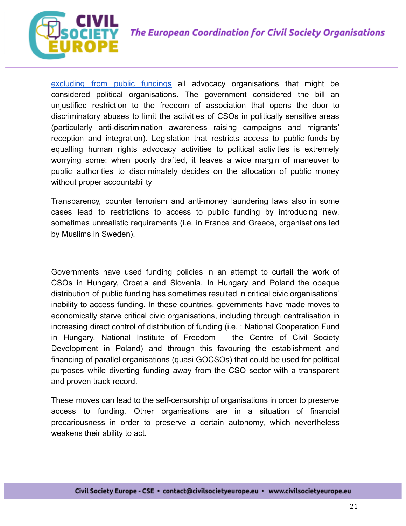



[excluding](https://monitor.civicus.org/updates/2018/08/21/coalition-party-cut-funding-political-ngos/) from public fundings all advocacy organisations that might be considered political organisations. The government considered the bill an unjustified restriction to the freedom of association that opens the door to discriminatory abuses to limit the activities of CSOs in politically sensitive areas (particularly anti-discrimination awareness raising campaigns and migrants' reception and integration). Legislation that restricts access to public funds by equalling human rights advocacy activities to political activities is extremely worrying some: when poorly drafted, it leaves a wide margin of maneuver to public authorities to discriminately decides on the allocation of public money without proper accountability

Transparency, counter terrorism and anti-money laundering laws also in some cases lead to restrictions to access to public funding by introducing new, sometimes unrealistic requirements (i.e. in France and Greece, organisations led by Muslims in Sweden).

Governments have used funding policies in an attempt to curtail the work of CSOs in Hungary, Croatia and Slovenia. In Hungary and Poland the opaque distribution of public funding has sometimes resulted in critical civic organisations' inability to access funding. In these countries, governments have made moves to economically starve critical civic organisations, including through centralisation in increasing direct control of distribution of funding (i.e. ; National Cooperation Fund in Hungary, National Institute of Freedom – the Centre of Civil Society Development in Poland) and through this favouring the establishment and financing of parallel organisations (quasi GOCSOs) that could be used for political purposes while diverting funding away from the CSO sector with a transparent and proven track record.

These moves can lead to the self-censorship of organisations in order to preserve access to funding. Other organisations are in a situation of financial precariousness in order to preserve a certain autonomy, which nevertheless weakens their ability to act.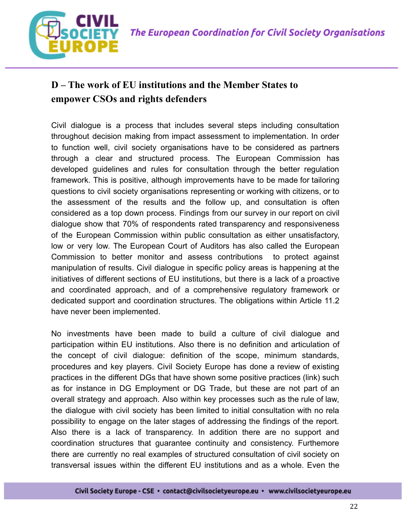

## **D – The work of EU institutions and the Member States to empower CSOs and rights defenders**

Civil dialogue is a process that includes several steps including consultation throughout decision making from impact assessment to implementation. In order to function well, civil society organisations have to be considered as partners through a clear and structured process. The European Commission has developed guidelines and rules for consultation through the better regulation framework. This is positive, although improvements have to be made for tailoring questions to civil society organisations representing or working with citizens, or to the assessment of the results and the follow up, and consultation is often considered as a top down process. Findings from our survey in our report on civil dialogue show that 70% of respondents rated transparency and responsiveness of the European Commission within public consultation as either unsatisfactory, low or very low. The European Court of Auditors has also called the European Commission to better monitor and assess contributions to protect against manipulation of results. Civil dialogue in specific policy areas is happening at the initiatives of different sections of EU institutions, but there is a lack of a proactive and coordinated approach, and of a comprehensive regulatory framework or dedicated support and coordination structures. The obligations within Article 11.2 have never been implemented.

No investments have been made to build a culture of civil dialogue and participation within EU institutions. Also there is no definition and articulation of the concept of civil dialogue: definition of the scope, minimum standards, procedures and key players. Civil Society Europe has done a review of existing practices in the different DGs that have shown some positive practices (link) such as for instance in DG Employment or DG Trade, but these are not part of an overall strategy and approach. Also within key processes such as the rule of law, the dialogue with civil society has been limited to initial consultation with no rela possibility to engage on the later stages of addressing the findings of the report. Also there is a lack of transparency. In addition there are no support and coordination structures that guarantee continuity and consistency. Furthemore there are currently no real examples of structured consultation of civil society on transversal issues within the different EU institutions and as a whole. Even the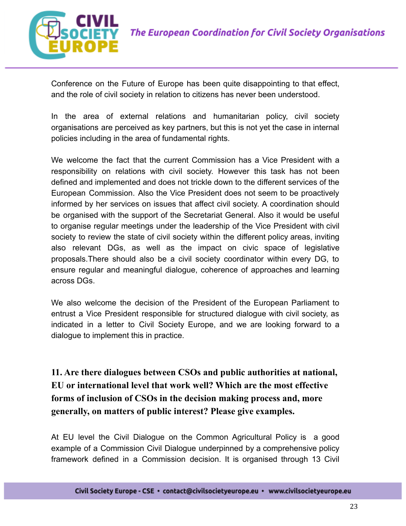

Conference on the Future of Europe has been quite disappointing to that effect, and the role of civil society in relation to citizens has never been understood.

In the area of external relations and humanitarian policy, civil society organisations are perceived as key partners, but this is not yet the case in internal policies including in the area of fundamental rights.

We welcome the fact that the current Commission has a Vice President with a responsibility on relations with civil society. However this task has not been defined and implemented and does not trickle down to the different services of the European Commission. Also the Vice President does not seem to be proactively informed by her services on issues that affect civil society. A coordination should be organised with the support of the Secretariat General. Also it would be useful to organise regular meetings under the leadership of the Vice President with civil society to review the state of civil society within the different policy areas, inviting also relevant DGs, as well as the impact on civic space of legislative proposals.There should also be a civil society coordinator within every DG, to ensure regular and meaningful dialogue, coherence of approaches and learning across DGs.

We also welcome the decision of the President of the European Parliament to entrust a Vice President responsible for structured dialogue with civil society, as indicated in a letter to Civil Society Europe, and we are looking forward to a dialogue to implement this in practice.

**11. Are there dialogues between CSOs and public authorities at national, EU or international level that work well? Which are the most effective forms of inclusion of CSOs in the decision making process and, more generally, on matters of public interest? Please give examples.**

At EU level the Civil Dialogue on the Common Agricultural Policy is a good example of a Commission Civil Dialogue underpinned by a comprehensive policy framework defined in a Commission decision. It is organised through 13 Civil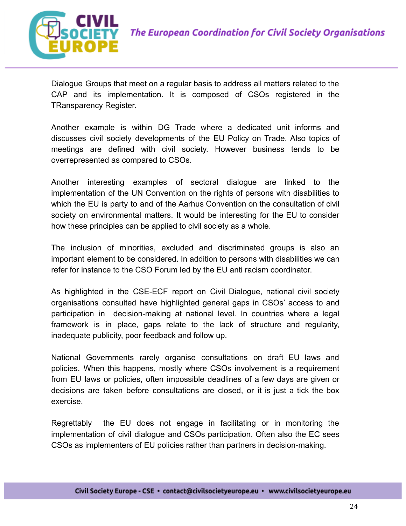

Dialogue Groups that meet on a regular basis to address all matters related to the CAP and its implementation. It is composed of CSOs registered in the TRansparency Register.

Another example is within DG Trade where a dedicated unit informs and discusses civil society developments of the EU Policy on Trade. Also topics of meetings are defined with civil society. However business tends to be overrepresented as compared to CSOs.

Another interesting examples of sectoral dialogue are linked to the implementation of the UN Convention on the rights of persons with disabilities to which the EU is party to and of the Aarhus Convention on the consultation of civil society on environmental matters. It would be interesting for the EU to consider how these principles can be applied to civil society as a whole.

The inclusion of minorities, excluded and discriminated groups is also an important element to be considered. In addition to persons with disabilities we can refer for instance to the CSO Forum led by the EU anti racism coordinator.

As highlighted in the CSE-ECF report on Civil Dialogue, national civil society organisations consulted have highlighted general gaps in CSOs' access to and participation in decision-making at national level. In countries where a legal framework is in place, gaps relate to the lack of structure and regularity, inadequate publicity, poor feedback and follow up.

National Governments rarely organise consultations on draft EU laws and policies. When this happens, mostly where CSOs involvement is a requirement from EU laws or policies, often impossible deadlines of a few days are given or decisions are taken before consultations are closed, or it is just a tick the box exercise.

Regrettably the EU does not engage in facilitating or in monitoring the implementation of civil dialogue and CSOs participation. Often also the EC sees CSOs as implementers of EU policies rather than partners in decision-making.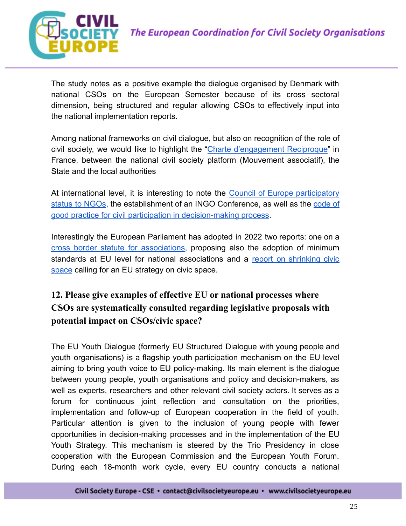

The study notes as a positive example the dialogue organised by Denmark with national CSOs on the European Semester because of its cross sectoral dimension, being structured and regular allowing CSOs to effectively input into the national implementation reports.

Among national frameworks on civil dialogue, but also on recognition of the role of civil society, we would like to highlight the "Charte [d'engagement](https://www.associations.gouv.fr/IMG/pdf/CharteEngagementsReciproques.pdf) Reciproque" in France, between the national civil society platform (Mouvement associatif), the State and the local authorities

At international level, it is interesting to note the Council of Europe [participatory](https://www.coe.int/en/web/ingo/participatory-status) status to [NGOs](https://www.coe.int/en/web/ingo/participatory-status), the establishment of an INGO Conference, as well as the [code](https://rm.coe.int/code-of-good-practice-civil-participation-revised-301019-en/168098b0e2) of [good practice for civil participation in decision-making process](https://rm.coe.int/code-of-good-practice-civil-participation-revised-301019-en/168098b0e2).

Interestingly the European Parliament has adopted in 2022 two reports: one on [a](https://www.europarl.europa.eu/doceo/document/TA-9-2022-0044_EN.html) cross border statute for [associations](https://www.europarl.europa.eu/doceo/document/TA-9-2022-0044_EN.html), proposing also the adoption of minimum standards at EU level for national associations and a report on [shrinking](https://www.europarl.europa.eu/doceo/document/TA-9-%202022-0056_EN.html) civic [space](https://www.europarl.europa.eu/doceo/document/TA-9-%202022-0056_EN.html) calling for an EU strategy on civic space.

### **12. Please give examples of effective EU or national processes where CSOs are systematically consulted regarding legislative proposals with potential impact on CSOs/civic space?**

The EU Youth Dialogue (formerly EU Structured Dialogue with young people and youth organisations) is a flagship youth participation mechanism on the EU level aiming to bring youth voice to EU policy-making. Its main element is the dialogue between young people, youth organisations and policy and decision-makers, as well as experts, researchers and other relevant civil society actors. It serves as a forum for continuous joint reflection and consultation on the priorities, implementation and follow-up of European cooperation in the field of youth. Particular attention is given to the inclusion of young people with fewer opportunities in decision-making processes and in the implementation of the EU Youth Strategy. This mechanism is steered by the Trio Presidency in close cooperation with the European Commission and the European Youth Forum. During each 18-month work cycle, every EU country conducts a national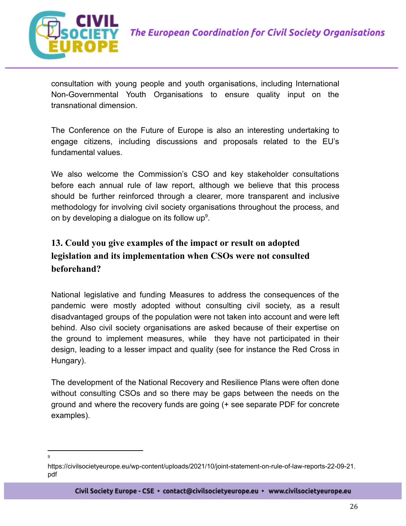

consultation with young people and youth organisations, including International Non-Governmental Youth Organisations to ensure quality input on the transnational dimension.

The Conference on the Future of Europe is also an interesting undertaking to engage citizens, including discussions and proposals related to the EU's fundamental values.

We also welcome the Commission's CSO and key stakeholder consultations before each annual rule of law report, although we believe that this process should be further reinforced through a clearer, more transparent and inclusive methodology for involving civil society organisations throughout the process, and on by developing a dialogue on its follow up<sup>9</sup>.

### **13. Could you give examples of the impact or result on adopted legislation and its implementation when CSOs were not consulted beforehand?**

National legislative and funding Measures to address the consequences of the pandemic were mostly adopted without consulting civil society, as a result disadvantaged groups of the population were not taken into account and were left behind. Also civil society organisations are asked because of their expertise on the ground to implement measures, while they have not participated in their design, leading to a lesser impact and quality (see for instance the Red Cross in Hungary).

The development of the National Recovery and Resilience Plans were often done without consulting CSOs and so there may be gaps between the needs on the ground and where the recovery funds are going (+ see separate PDF for concrete examples).

<sup>9</sup>

https://civilsocietyeurope.eu/wp-content/uploads/2021/10/joint-statement-on-rule-of-law-reports-22-09-21. pdf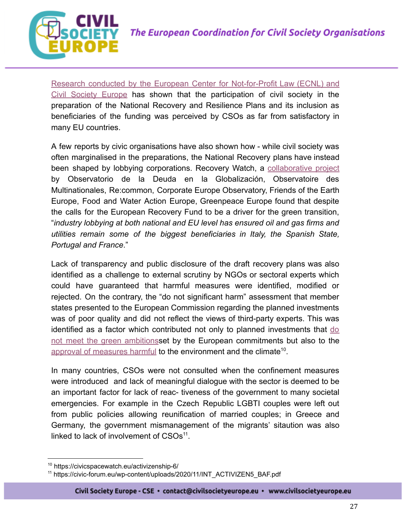

Research conducted by the European Center for [Not-for-Profit](https://civilsocietyeurope.eu/wp-content/uploads/2021/01/CSE-ECNL-Participation-of-CSOs-in-the-preparation-of-the-EU-NRRPs_spread.pdf) Law (ECNL) and Civil [Society](https://civilsocietyeurope.eu/wp-content/uploads/2021/01/CSE-ECNL-Participation-of-CSOs-in-the-preparation-of-the-EU-NRRPs_spread.pdf) Europe has shown that the participation of civil society in the preparation of the National Recovery and Resilience Plans and its inclusion as beneficiaries of the funding was perceived by CSOs as far from satisfactory in many EU countries.

A few reports by civic organisations have also shown how - while civil society was often marginalised in the preparations, the National Recovery plans have instead been shaped by lobbying corporations. Recovery Watch, a [collaborative](https://corpwatchers.eu/IMG/pdf/hijacking-recovery-hydrogen.pdf) project by Observatorio de la Deuda en la Globalización, Observatoire des Multinationales, Re:common, Corporate Europe Observatory, Friends of the Earth Europe, Food and Water Action Europe, Greenpeace Europe found that despite the calls for the European Recovery Fund to be a driver for the green transition, "*industry lobbying at both national and EU level has ensured oil and gas firms and utilities remain some of the biggest beneficiaries in Italy, the Spanish State, Portugal and France*."

Lack of transparency and public disclosure of the draft recovery plans was also identified as a challenge to external scrutiny by NGOs or sectoral experts which could have guaranteed that harmful measures were identified, modified or rejected. On the contrary, the "do not significant harm" assessment that member states presented to the European Commission regarding the planned investments was of poor quality and did not reflect the views of third-party experts. This was identified as a factor which contributed not only to planned investments that [do](https://caneurope.org/content/uploads/2022/02/2022_02_Reaching-for-a-green-recovery-CAN-Europe-Bankwatch.pdf) not meet the green [ambitions](https://caneurope.org/content/uploads/2022/02/2022_02_Reaching-for-a-green-recovery-CAN-Europe-Bankwatch.pdf)set by the European commitments but also to the [approval of measures harmful](https://green10.org/wp-content/uploads/2021/11/Statement-of-the-Green-10-on-the-do-no-significant-harm-principle.pdf) to the environment and the climate<sup>10</sup>.

In many countries, CSOs were not consulted when the confinement measures were introduced and lack of meaningful dialogue with the sector is deemed to be an important factor for lack of reac- tiveness of the government to many societal emergencies. For example in the Czech Republic LGBTI couples were left out from public policies allowing reunification of married couples; in Greece and Germany, the government mismanagement of the migrants' sitaution was also linked to lack of involvement of  $CSOs<sup>11</sup>$ .

<sup>10</sup> https://civicspacewatch.eu/activizenship-6/

<sup>11</sup> https://civic-forum.eu/wp-content/uploads/2020/11/INT\_ACTIVIZEN5\_BAF.pdf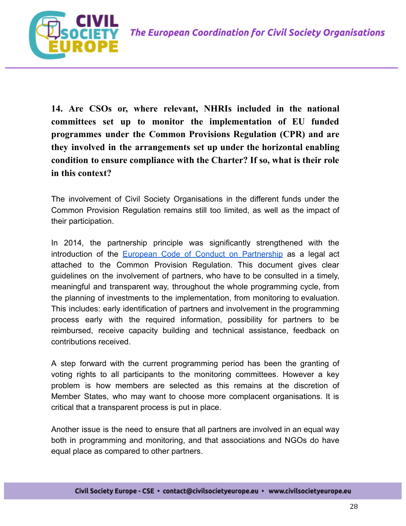

**14. Are CSOs or, where relevant, NHRIs included in the national committees set up to monitor the implementation of EU funded programmes under the Common Provisions Regulation (CPR) and are they involved in the arrangements set up under the horizontal enabling condition to ensure compliance with the Charter? If so, what is their role in this context?**

The involvement of Civil Society Organisations in the different funds under the Common Provision Regulation remains still too limited, as well as the impact of their participation.

In 2014, the partnership principle was significantly strengthened with the introduction of the European Code of Conduct on [Partnership](https://eur-lex.europa.eu/legal-content/EN/TXT/PDF/?uri=CELEX:32014R0240&from=EN) as a legal act attached to the Common Provision Regulation. This document gives clear guidelines on the involvement of partners, who have to be consulted in a timely, meaningful and transparent way, throughout the whole programming cycle, from the planning of investments to the implementation, from monitoring to evaluation. This includes: early identification of partners and involvement in the programming process early with the required information, possibility for partners to be reimbursed, receive capacity building and technical assistance, feedback on contributions received.

A step forward with the current programming period has been the granting of voting rights to all participants to the monitoring committees. However a key problem is how members are selected as this remains at the discretion of Member States, who may want to choose more complacent organisations. It is critical that a transparent process is put in place.

Another issue is the need to ensure that all partners are involved in an equal way both in programming and monitoring, and that associations and NGOs do have equal place as compared to other partners.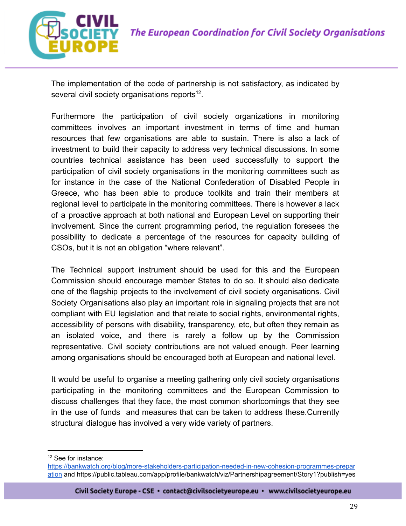

The implementation of the code of partnership is not satisfactory, as indicated by several civil society organisations reports $^{12}$ .

Furthermore the participation of civil society organizations in monitoring committees involves an important investment in terms of time and human resources that few organisations are able to sustain. There is also a lack of investment to build their capacity to address very technical discussions. In some countries technical assistance has been used successfully to support the participation of civil society organisations in the monitoring committees such as for instance in the case of the National Confederation of Disabled People in Greece, who has been able to produce toolkits and train their members at regional level to participate in the monitoring committees. There is however a lack of a proactive approach at both national and European Level on supporting their involvement. Since the current programming period, the regulation foresees the possibility to dedicate a percentage of the resources for capacity building of CSOs, but it is not an obligation "where relevant".

The Technical support instrument should be used for this and the European Commission should encourage member States to do so. It should also dedicate one of the flagship projects to the involvement of civil society organisations. Civil Society Organisations also play an important role in signaling projects that are not compliant with EU legislation and that relate to social rights, environmental rights, accessibility of persons with disability, transparency, etc, but often they remain as an isolated voice, and there is rarely a follow up by the Commission representative. Civil society contributions are not valued enough. Peer learning among organisations should be encouraged both at European and national level.

It would be useful to organise a meeting gathering only civil society organisations participating in the monitoring committees and the European Commission to discuss challenges that they face, the most common shortcomings that they see in the use of funds and measures that can be taken to address these.Currently structural dialogue has involved a very wide variety of partners.

 $12$  See for instance:

[https://bankwatch.org/blog/more-stakeholders-participation-needed-in-new-cohesion-programmes-prepar](https://bankwatch.org/blog/more-stakeholders-participation-needed-in-new-cohesion-programmes-preparation) [ation](https://bankwatch.org/blog/more-stakeholders-participation-needed-in-new-cohesion-programmes-preparation) and https://public.tableau.com/app/profile/bankwatch/viz/Partnershipagreement/Story1?publish=yes